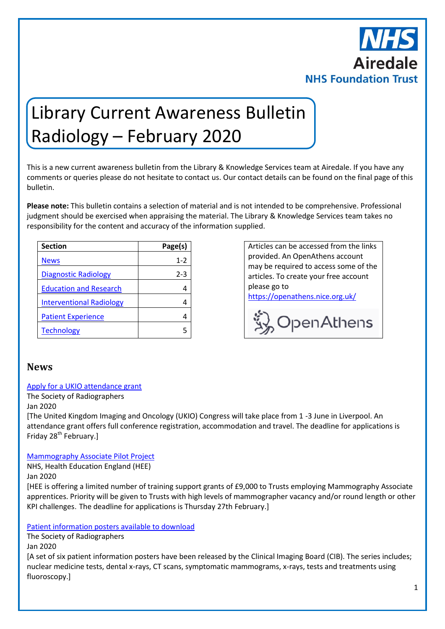

# Library Current Awareness Bulletin Radiology – February 2020

This is a new current awareness bulletin from the Library & Knowledge Services team at Airedale. If you have any comments or queries please do not hesitate to contact us. Our contact details can be found on the final page of this bulletin.

**Please note:** This bulletin contains a selection of material and is not intended to be comprehensive. Professional judgment should be exercised when appraising the material. The Library & Knowledge Services team takes no responsibility for the content and accuracy of the information supplied.

| <b>Section</b>                  | Page(s) |
|---------------------------------|---------|
| <b>News</b>                     | 1-2     |
| <b>Diagnostic Radiology</b>     | 2-3     |
| <b>Education and Research</b>   |         |
| <b>Interventional Radiology</b> |         |
| <b>Patient Experience</b>       |         |
| <b>Technology</b>               |         |

Articles can be accessed from the links provided. An OpenAthens account may be required to access some of the articles. To create your free account please go to

<https://openathens.nice.org.uk/>



### <span id="page-0-0"></span>**News**

#### [Apply for a UKIO attendance grant](https://www.sor.org/news/apply-ukio-attendance-grant)

The Society of Radiographers

Jan 2020

[The United Kingdom Imaging and Oncology (UKIO) Congress will take place from 1 -3 June in Liverpool. An attendance grant offers full conference registration, accommodation and travel. The deadline for applications is Friday 28<sup>th</sup> February.]

#### [Mammography Associate Pilot Project](https://www.hee.nhs.uk/our-work/apprenticeships/mammography-associate-pilot-project)

NHS, Health Education England (HEE) Jan 2020

[HEE is offering a limited number of training support grants of £9,000 to Trusts employing Mammography Associate apprentices. Priority will be given to Trusts with high levels of mammographer vacancy and/or round length or other KPI challenges. The deadline for applications is Thursday 27th February.]

#### [Patient information posters available to download](https://www.sor.org/news/patient-information-posters-available-download)

The Society of Radiographers

Jan 2020

[A set of six patient information posters have been released by the Clinical Imaging Board (CIB). The series includes; nuclear medicine tests, dental x-rays, CT scans, symptomatic mammograms, x-rays, tests and treatments using fluoroscopy.]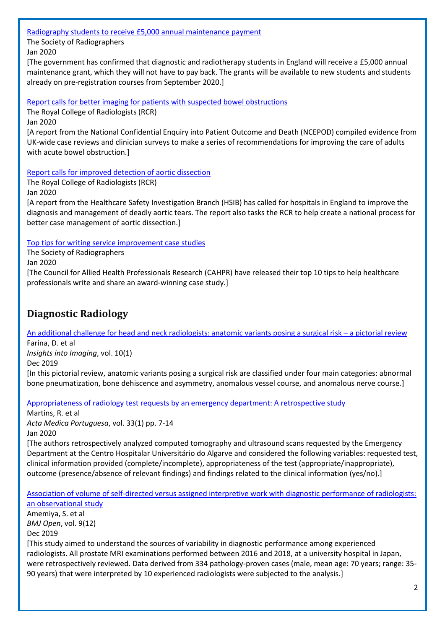[Radiography students to receive £5,000 annual maintenance payment](https://www.sor.org/news/radiography-students-receive-5000-annual-maintenance-payment)

The Society of Radiographers

Jan 2020

[The government has confirmed that diagnostic and radiotherapy students in England will receive a £5,000 annual maintenance grant, which they will not have to pay back. The grants will be available to new students and students already on pre-registration courses from September 2020.]

[Report calls for better imaging for patients with suspected bowel obstructions](https://www.rcr.ac.uk/posts/report-calls-better-imaging-patients-suspected-bowel-obstructions)

The Royal College of Radiologists (RCR)

Jan 2020

[A report from the National Confidential Enquiry into Patient Outcome and Death (NCEPOD) compiled evidence from UK-wide case reviews and clinician surveys to make a series of recommendations for improving the care of adults with acute bowel obstruction.]

[Report calls for improved detection of aortic dissection](https://www.rcr.ac.uk/posts/report-calls-improved-detection-aortic-dissection)

The Royal College of Radiologists (RCR)

Jan 2020

[A report from the Healthcare Safety Investigation Branch (HSIB) has called for hospitals in England to improve the diagnosis and management of deadly aortic tears. The report also tasks the RCR to help create a national process for better case management of aortic dissection.]

[Top tips for writing service improvement case studies](https://www.sor.org/news/top-tips-writing-service-improvement-case-studies)

The Society of Radiographers Jan 2020

[The Council for Allied Health Professionals Research (CAHPR) have released their top 10 tips to help healthcare professionals write and share an award-winning case study.]

### <span id="page-1-0"></span>**Diagnostic Radiology**

[An additional challenge for head and neck radiologists: anatomic variants posing a surgical risk](https://insightsimaging.springeropen.com/articles/10.1186/s13244-019-0794-7) – a pictorial review Farina, D. et al *Insights into Imaging*, vol. 10(1)

Dec 2019

[In this pictorial review, anatomic variants posing a surgical risk are classified under four main categories: abnormal bone pneumatization, bone dehiscence and asymmetry, anomalous vessel course, and anomalous nerve course.]

[Appropriateness of radiology test requests by an emergency department: A retrospective study](https://www.actamedicaportuguesa.com/revista/index.php/amp/article/view/12075)

Martins, R. et al *Acta Medica Portuguesa*, vol. 33(1) pp. 7-14 Jan 2020

[The authors retrospectively analyzed computed tomography and ultrasound scans requested by the Emergency Department at the Centro Hospitalar Universitário do Algarve and considered the following variables: requested test, clinical information provided (complete/incomplete), appropriateness of the test (appropriate/inappropriate), outcome (presence/absence of relevant findings) and findings related to the clinical information (yes/no).]

[Association of volume of self-directed versus assigned interpretive work with diagnostic performance of radiologists:](https://bmjopen.bmj.com/content/9/12/e033390)  [an observational study](https://bmjopen.bmj.com/content/9/12/e033390)

Amemiya, S. et al *BMJ Open*, vol. 9(12) Dec 2019

[This study aimed to understand the sources of variability in diagnostic performance among experienced radiologists. All prostate MRI examinations performed between 2016 and 2018, at a university hospital in Japan, were retrospectively reviewed. Data derived from 334 pathology-proven cases (male, mean age: 70 years; range: 35- 90 years) that were interpreted by 10 experienced radiologists were subjected to the analysis.]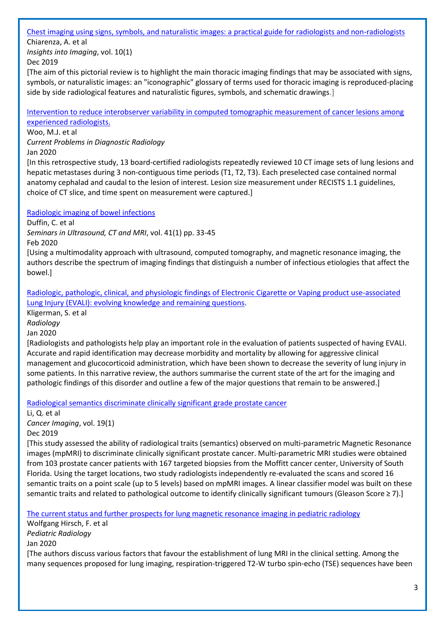#### [Chest imaging using signs, symbols, and naturalistic images: a practical guide for radiologists and non-radiologists](https://insightsimaging.springeropen.com/articles/10.1186/s13244-019-0789-4)

Chiarenza, A. et al *Insights into Imaging*, vol. 10(1) Dec 2019

[The aim of this pictorial review is to highlight the main thoracic imaging findings that may be associated with signs, symbols, or naturalistic images: an "iconographic" glossary of terms used for thoracic imaging is reproduced-placing side by side radiological features and naturalistic figures, symbols, and schematic drawings.]

[Intervention to reduce interobserver variability in computed tomographic measurement of cancer lesions among](https://www.sciencedirect.com/science/article/pii/S036301882030013X?via%3Dihub)  [experienced radiologists.](https://www.sciencedirect.com/science/article/pii/S036301882030013X?via%3Dihub)

Woo, M.J. et al

*Current Problems in Diagnostic Radiology*

Jan 2020

[In this retrospective study, 13 board-certified radiologists repeatedly reviewed 10 CT image sets of lung lesions and hepatic metastases during 3 non-contiguous time periods (T1, T2, T3). Each preselected case contained normal anatomy cephalad and caudal to the lesion of interest. Lesion size measurement under RECISTS 1.1 guidelines, choice of CT slice, and time spent on measurement were captured.]

[Radiologic imaging of bowel infections](https://www.sciencedirect.com/science/article/pii/S0887217119300678?via%3Dihub)

Duffin, C. et al *Seminars in Ultrasound, CT and MRI*, vol. 41(1) pp. 33-45 Feb 2020

[Using a multimodality approach with ultrasound, computed tomography, and magnetic resonance imaging, the authors describe the spectrum of imaging findings that distinguish a number of infectious etiologies that affect the bowel.]

[Radiologic, pathologic, clinical, and physiologic findings of Electronic Cigarette or Vaping product use-associated](https://pubs.rsna.org/doi/pdf/10.1148/radiol.2020192585) [Lung Injury \(EVALI\): evolving knowledge and remaining questions.](https://pubs.rsna.org/doi/pdf/10.1148/radiol.2020192585)

Kligerman, S. et al *Radiology*

Jan 2020

[Radiologists and pathologists help play an important role in the evaluation of patients suspected of having EVALI. Accurate and rapid identification may decrease morbidity and mortality by allowing for aggressive clinical management and glucocorticoid administration, which have been shown to decrease the severity of lung injury in some patients. In this narrative review, the authors summarise the current state of the art for the imaging and pathologic findings of this disorder and outline a few of the major questions that remain to be answered.]

[Radiological semantics discriminate clinically significant grade prostate cancer](https://cancerimagingjournal.biomedcentral.com/articles/10.1186/s40644-019-0272-y)

Li, Q. et al *Cancer Imaging*, vol. 19(1)

Dec 2019

[This study assessed the ability of radiological traits (semantics) observed on multi-parametric Magnetic Resonance images (mpMRI) to discriminate clinically significant prostate cancer. Multi-parametric MRI studies were obtained from 103 prostate cancer patients with 167 targeted biopsies from the Moffitt cancer center, University of South Florida. Using the target locations, two study radiologists independently re-evaluated the scans and scored 16 semantic traits on a point scale (up to 5 levels) based on mpMRI images. A linear classifier model was built on these semantic traits and related to pathological outcome to identify clinically significant tumours (Gleason Score ≥ 7).]

[The current status and further prospects for lung magnetic resonance imaging](https://link.springer.com/content/pdf/10.1007/s00247-019-04594-z.pdf) in pediatric radiology

Wolfgang Hirsch, F. et al *Pediatric Radiology* Jan 2020 [The authors discuss various factors that favour the establishment of lung MRI in the clinical setting. Among the many sequences proposed for lung imaging, respiration-triggered T2-W turbo spin-echo (TSE) sequences have been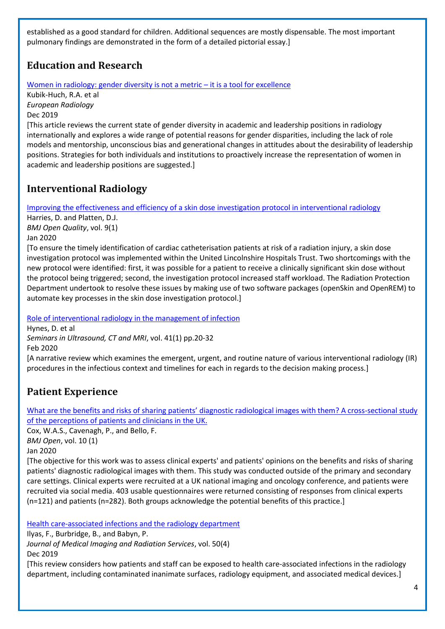established as a good standard for children. Additional sequences are mostly dispensable. The most important pulmonary findings are demonstrated in the form of a detailed pictorial essay.]

# <span id="page-3-0"></span>**Education and Research**

[Women in radiology: gender diversity is not a metric](https://link.springer.com/content/pdf/10.1007%2Fs00330-019-06493-1.pdf) – it is a tool for excellence

Kubik-Huch, R.A. et al *European Radiology* Dec 2019

[This article reviews the current state of gender diversity in academic and leadership positions in radiology internationally and explores a wide range of potential reasons for gender disparities, including the lack of role models and mentorship, unconscious bias and generational changes in attitudes about the desirability of leadership positions. Strategies for both individuals and institutions to proactively increase the representation of women in academic and leadership positions are suggested.]

### <span id="page-3-1"></span>**Interventional Radiology**

Improving the effectiveness and [efficiency of a skin dose investigation protocol in interventional radiology](https://bmjopenquality.bmj.com/content/bmjqir/9/1/e000722.full.pdf)

Harries, D. and Platten, D.J. *BMJ Open Quality*, vol. 9(1) Jan 2020

[To ensure the timely identification of cardiac catheterisation patients at risk of a radiation injury, a skin dose investigation protocol was implemented within the United Lincolnshire Hospitals Trust. Two shortcomings with the new protocol were identified: first, it was possible for a patient to receive a clinically significant skin dose without the protocol being triggered; second, the investigation protocol increased staff workload. The Radiation Protection Department undertook to resolve these issues by making use of two software packages (openSkin and OpenREM) to automate key processes in the skin dose investigation protocol.]

[Role of interventional radiology in the management of infection](https://www.sciencedirect.com/science/article/pii/S0887217119300691?via%3Dihub)

Hynes, D. et al *Seminars in Ultrasound, CT and MRI*, vol. 41(1) pp.20-32 Feb 2020

[A narrative review which examines the emergent, urgent, and routine nature of various interventional radiology (IR) procedures in the infectious context and timelines for each in regards to the decision making process.]

# <span id="page-3-2"></span>**Patient Experience**

What are the benefits and risks of sharing patients' diagnostic radiological images with them? A cross-sectional study [of the perceptions of patients and clinicians in the UK.](https://bmjopen.bmj.com/content/10/1/e033835)

Cox, W.A.S., Cavenagh, P., and Bello, F. *BMJ Open*, vol. 10 (1)

Jan 2020

[The objective for this work was to assess clinical experts' and patients' opinions on the benefits and risks of sharing patients' diagnostic radiological images with them. This study was conducted outside of the primary and secondary care settings. Clinical experts were recruited at a UK national imaging and oncology conference, and patients were recruited via social media. 403 usable questionnaires were returned consisting of responses from clinical experts (n=121) and patients (n=282). Both groups acknowledge the potential benefits of this practice.]

<span id="page-3-3"></span>[Health care-associated infections and the radiology department](https://www.jmirs.org/article/S1939-8654(17)30115-7/pdf)

Ilyas, F., Burbridge, B., and Babyn, P.

*Journal of Medical Imaging and Radiation Services*, vol. 50(4)

Dec 2019

[This review considers how patients and staff can be exposed to health care-associated infections in the radiology department, including contaminated inanimate surfaces, radiology equipment, and associated medical devices.]